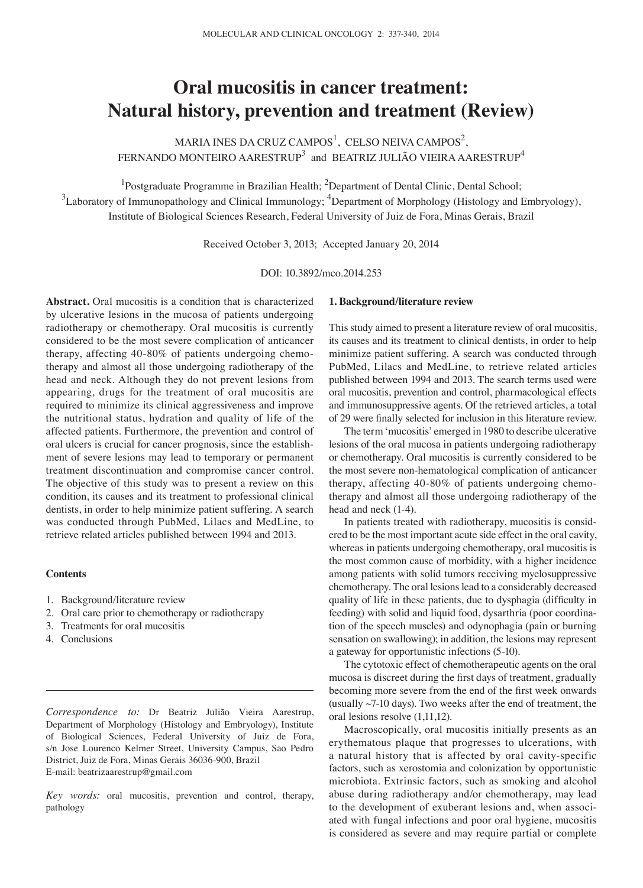# **Oral mucositis in cancer treatment: Natural history, prevention and treatment (Review)**

MARIA INES DA CRUZ CAMPOS<sup>1</sup>, CELSO NEIVA CAMPOS<sup>2</sup>, FERNANDO MONTEIRO AARESTRUP $^3$  and BEATRIZ JULIÃO VIEIRA AARESTRUP $^4$ 

<sup>1</sup>Postgraduate Programme in Brazilian Health; <sup>2</sup>Department of Dental Clinic, Dental School;  $^3$ Laboratory of Immunopathology and Clinical Immunology;  $^4$ Department of Morphology (Histology and Embryology), Institute of Biological Sciences Research, Federal University of Juiz de Fora, Minas Gerais, Brazil

Received October 3, 2013; Accepted January 20, 2014

DOI: 10.3892/mco.2014.253

**Abstract.** Oral mucositis is a condition that is characterized by ulcerative lesions in the mucosa of patients undergoing radiotherapy or chemotherapy. Oral mucositis is currently considered to be the most severe complication of anticancer therapy, affecting 40-80% of patients undergoing chemotherapy and almost all those undergoing radiotherapy of the head and neck. Although they do not prevent lesions from appearing, drugs for the treatment of oral mucositis are required to minimize its clinical aggressiveness and improve the nutritional status, hydration and quality of life of the affected patients. Furthermore, the prevention and control of oral ulcers is crucial for cancer prognosis, since the establishment of severe lesions may lead to temporary or permanent treatment discontinuation and compromise cancer control. The objective of this study was to present a review on this condition, its causes and its treatment to professional clinical dentists, in order to help minimize patient suffering. A search was conducted through PubMed, Lilacs and MedLine, to retrieve related articles published between 1994 and 2013.

# **Contents**

- 1. Background/literature review
- 2. Oral care prior to chemotherapy or radiotherapy
- 3. Treatments for oral mucositis
- 4. Conclusions

*Correspondence to:* Dr Beatriz Julião Vieira Aarestrup, Department of Morphology (Histology and Embryology), Institute of Biological Sciences, Federal University of Juiz de Fora, s/n Jose Lourenco Kelmer Street, University Campus, Sao Pedro District, Juiz de Fora, Minas Gerais 36036-900, Brazil E-mail: beatrizaarestrup@gmail.com

*Key words:* oral mucositis, prevention and control, therapy, pathology

#### **1. Background/literature review**

This study aimed to present a literature review of oral mucositis, its causes and its treatment to clinical dentists, in order to help minimize patient suffering. A search was conducted through PubMed, Lilacs and MedLine, to retrieve related articles published between 1994 and 2013. The search terms used were oral mucositis, prevention and control, pharmacological effects and immunosuppressive agents. Of the retrieved articles, a total of 29 were finally selected for inclusion in this literature review.

The term 'mucositis' emerged in 1980 to describe ulcerative lesions of the oral mucosa in patients undergoing radiotherapy or chemotherapy. Oral mucositis is currently considered to be the most severe non-hematological complication of anticancer therapy, affecting 40-80% of patients undergoing chemotherapy and almost all those undergoing radiotherapy of the head and neck (1-4).

In patients treated with radiotherapy, mucositis is considered to be the most important acute side effect in the oral cavity, whereas in patients undergoing chemotherapy, oral mucositis is the most common cause of morbidity, with a higher incidence among patients with solid tumors receiving myelosuppressive chemotherapy. The oral lesions lead to a considerably decreased quality of life in these patients, due to dysphagia (difficulty in feeding) with solid and liquid food, dysarthria (poor coordination of the speech muscles) and odynophagia (pain or burning sensation on swallowing); in addition, the lesions may represent a gateway for opportunistic infections (5-10).

The cytotoxic effect of chemotherapeutic agents on the oral mucosa is discreet during the first days of treatment, gradually becoming more severe from the end of the first week onwards (usually ~7-10 days). Two weeks after the end of treatment, the oral lesions resolve (1,11,12).

Macroscopically, oral mucositis initially presents as an erythematous plaque that progresses to ulcerations, with a natural history that is affected by oral cavity-specific factors, such as xerostomia and colonization by opportunistic microbiota. Extrinsic factors, such as smoking and alcohol abuse during radiotherapy and/or chemotherapy, may lead to the development of exuberant lesions and, when associated with fungal infections and poor oral hygiene, mucositis is considered as severe and may require partial or complete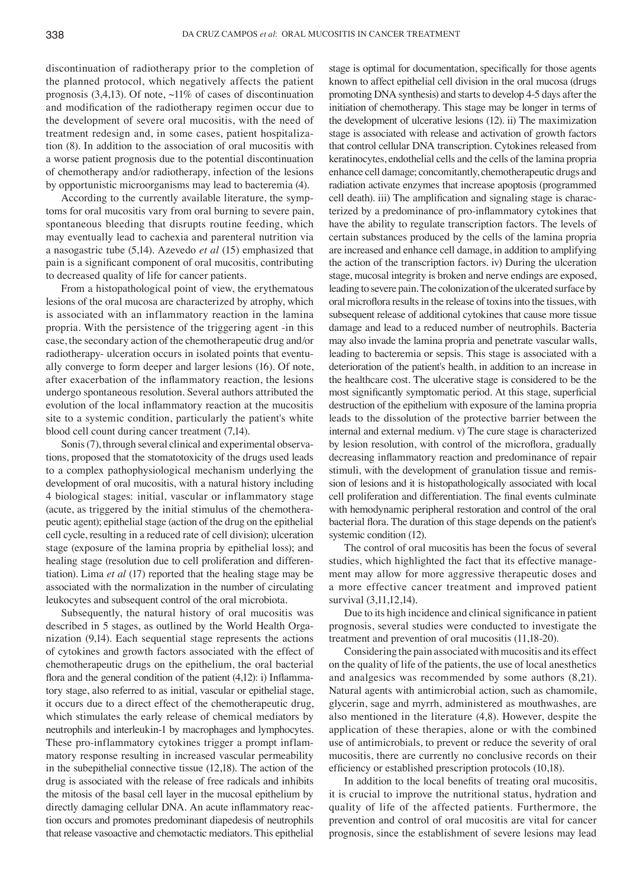discontinuation of radiotherapy prior to the completion of the planned protocol, which negatively affects the patient prognosis  $(3,4,13)$ . Of note,  $\sim$ 11% of cases of discontinuation and modification of the radiotherapy regimen occur due to the development of severe oral mucositis, with the need of treatment redesign and, in some cases, patient hospitalization (8). In addition to the association of oral mucositis with a worse patient prognosis due to the potential discontinuation of chemotherapy and/or radiotherapy, infection of the lesions by opportunistic microorganisms may lead to bacteremia (4).

According to the currently available literature, the symptoms for oral mucositis vary from oral burning to severe pain, spontaneous bleeding that disrupts routine feeding, which may eventually lead to cachexia and parenteral nutrition via a nasogastric tube (5,14). Azevedo *et al* (15) emphasized that pain is a significant component of oral mucositis, contributing to decreased quality of life for cancer patients.

From a histopathological point of view, the erythematous lesions of the oral mucosa are characterized by atrophy, which is associated with an inflammatory reaction in the lamina propria. With the persistence of the triggering agent -in this case, the secondary action of the chemotherapeutic drug and/or radiotherapy- ulceration occurs in isolated points that eventually converge to form deeper and larger lesions (16). Of note, after exacerbation of the inflammatory reaction, the lesions undergo spontaneous resolution. Several authors attributed the evolution of the local inflammatory reaction at the mucositis site to a systemic condition, particularly the patient's white blood cell count during cancer treatment (7,14).

Sonis (7), through several clinical and experimental observations, proposed that the stomatotoxicity of the drugs used leads to a complex pathophysiological mechanism underlying the development of oral mucositis, with a natural history including 4 biological stages: initial, vascular or inflammatory stage (acute, as triggered by the initial stimulus of the chemotherapeutic agent); epithelial stage (action of the drug on the epithelial cell cycle, resulting in a reduced rate of cell division); ulceration stage (exposure of the lamina propria by epithelial loss); and healing stage (resolution due to cell proliferation and differentiation). Lima *et al* (17) reported that the healing stage may be associated with the normalization in the number of circulating leukocytes and subsequent control of the oral microbiota.

Subsequently, the natural history of oral mucositis was described in 5 stages, as outlined by the World Health Organization (9,14). Each sequential stage represents the actions of cytokines and growth factors associated with the effect of chemotherapeutic drugs on the epithelium, the oral bacterial flora and the general condition of the patient (4,12): i) Inflammatory stage, also referred to as initial, vascular or epithelial stage, it occurs due to a direct effect of the chemotherapeutic drug, which stimulates the early release of chemical mediators by neutrophils and interleukin-1 by macrophages and lymphocytes. These pro-inflammatory cytokines trigger a prompt inflammatory response resulting in increased vascular permeability in the subepithelial connective tissue (12,18). The action of the drug is associated with the release of free radicals and inhibits the mitosis of the basal cell layer in the mucosal epithelium by directly damaging cellular DNA. An acute inflammatory reaction occurs and promotes predominant diapedesis of neutrophils that release vasoactive and chemotactic mediators. This epithelial

stage is optimal for documentation, specifically for those agents known to affect epithelial cell division in the oral mucosa (drugs promoting DNA synthesis) and starts to develop 4-5 days after the initiation of chemotherapy. This stage may be longer in terms of the development of ulcerative lesions (12). ii) The maximization stage is associated with release and activation of growth factors that control cellular DNA transcription. Cytokines released from keratinocytes, endothelial cells and the cells of the lamina propria enhance cell damage; concomitantly, chemotherapeutic drugs and radiation activate enzymes that increase apoptosis (programmed cell death). iii) The amplification and signaling stage is characterized by a predominance of pro‑inflammatory cytokines that have the ability to regulate transcription factors. The levels of certain substances produced by the cells of the lamina propria are increased and enhance cell damage, in addition to amplifying the action of the transcription factors. iv) During the ulceration stage, mucosal integrity is broken and nerve endings are exposed, leading to severe pain. The colonization of the ulcerated surface by oral microflora results in the release of toxins into the tissues, with subsequent release of additional cytokines that cause more tissue damage and lead to a reduced number of neutrophils. Bacteria may also invade the lamina propria and penetrate vascular walls, leading to bacteremia or sepsis. This stage is associated with a deterioration of the patient's health, in addition to an increase in the healthcare cost. The ulcerative stage is considered to be the most significantly symptomatic period. At this stage, superficial destruction of the epithelium with exposure of the lamina propria leads to the dissolution of the protective barrier between the internal and external medium. v) The cure stage is characterized by lesion resolution, with control of the microflora, gradually decreasing inflammatory reaction and predominance of repair stimuli, with the development of granulation tissue and remission of lesions and it is histopathologically associated with local cell proliferation and differentiation. The final events culminate with hemodynamic peripheral restoration and control of the oral bacterial flora. The duration of this stage depends on the patient's systemic condition (12).

The control of oral mucositis has been the focus of several studies, which highlighted the fact that its effective management may allow for more aggressive therapeutic doses and a more effective cancer treatment and improved patient survival (3,11,12,14).

Due to its high incidence and clinical significance in patient prognosis, several studies were conducted to investigate the treatment and prevention of oral mucositis (11,18-20).

Considering the pain associated with mucositis and its effect on the quality of life of the patients, the use of local anesthetics and analgesics was recommended by some authors (8,21). Natural agents with antimicrobial action, such as chamomile, glycerin, sage and myrrh, administered as mouthwashes, are also mentioned in the literature (4,8). However, despite the application of these therapies, alone or with the combined use of antimicrobials, to prevent or reduce the severity of oral mucositis, there are currently no conclusive records on their efficiency or established prescription protocols (10,18).

In addition to the local benefits of treating oral mucositis, it is crucial to improve the nutritional status, hydration and quality of life of the affected patients. Furthermore, the prevention and control of oral mucositis are vital for cancer prognosis, since the establishment of severe lesions may lead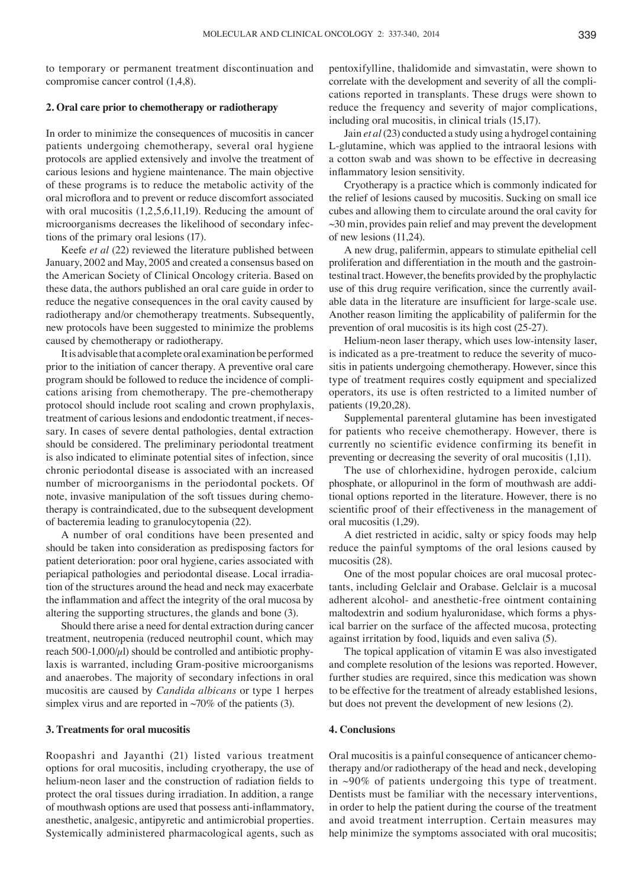to temporary or permanent treatment discontinuation and compromise cancer control (1,4,8).

# **2. Oral care prior to chemotherapy or radiotherapy**

In order to minimize the consequences of mucositis in cancer patients undergoing chemotherapy, several oral hygiene protocols are applied extensively and involve the treatment of carious lesions and hygiene maintenance. The main objective of these programs is to reduce the metabolic activity of the oral microflora and to prevent or reduce discomfort associated with oral mucositis  $(1,2,5,6,11,19)$ . Reducing the amount of microorganisms decreases the likelihood of secondary infections of the primary oral lesions (17).

Keefe *et al* (22) reviewed the literature published between January, 2002 and May, 2005 and created a consensus based on the American Society of Clinical Oncology criteria. Based on these data, the authors published an oral care guide in order to reduce the negative consequences in the oral cavity caused by radiotherapy and/or chemotherapy treatments. Subsequently, new protocols have been suggested to minimize the problems caused by chemotherapy or radiotherapy.

It is advisable that a complete oral examination be performed prior to the initiation of cancer therapy. A preventive oral care program should be followed to reduce the incidence of complications arising from chemotherapy. The pre-chemotherapy protocol should include root scaling and crown prophylaxis, treatment of carious lesions and endodontic treatment, if necessary. In cases of severe dental pathologies, dental extraction should be considered. The preliminary periodontal treatment is also indicated to eliminate potential sites of infection, since chronic periodontal disease is associated with an increased number of microorganisms in the periodontal pockets. Of note, invasive manipulation of the soft tissues during chemotherapy is contraindicated, due to the subsequent development of bacteremia leading to granulocytopenia (22).

A number of oral conditions have been presented and should be taken into consideration as predisposing factors for patient deterioration: poor oral hygiene, caries associated with periapical pathologies and periodontal disease. Local irradiation of the structures around the head and neck may exacerbate the inflammation and affect the integrity of the oral mucosa by altering the supporting structures, the glands and bone (3).

Should there arise a need for dental extraction during cancer treatment, neutropenia (reduced neutrophil count, which may reach 500-1,000/ $\mu$ l) should be controlled and antibiotic prophylaxis is warranted, including Gram-positive microorganisms and anaerobes. The majority of secondary infections in oral mucositis are caused by *Candida albicans* or type 1 herpes simplex virus and are reported in  $\sim 70\%$  of the patients (3).

### **3. Treatments for oral mucositis**

Roopashri and Jayanthi (21) listed various treatment options for oral mucositis, including cryotherapy, the use of helium‑neon laser and the construction of radiation fields to protect the oral tissues during irradiation. In addition, a range of mouthwash options are used that possess anti‑inflammatory, anesthetic, analgesic, antipyretic and antimicrobial properties. Systemically administered pharmacological agents, such as pentoxifylline, thalidomide and simvastatin, were shown to correlate with the development and severity of all the complications reported in transplants. These drugs were shown to reduce the frequency and severity of major complications, including oral mucositis, in clinical trials (15,17).

Jain *et al*(23) conducted a study using a hydrogel containing L-glutamine, which was applied to the intraoral lesions with a cotton swab and was shown to be effective in decreasing inflammatory lesion sensitivity.

Cryotherapy is a practice which is commonly indicated for the relief of lesions caused by mucositis. Sucking on small ice cubes and allowing them to circulate around the oral cavity for  $\sim$ 30 min, provides pain relief and may prevent the development of new lesions (11,24).

A new drug, palifermin, appears to stimulate epithelial cell proliferation and differentiation in the mouth and the gastrointestinal tract. However, the benefits provided by the prophylactic use of this drug require verification, since the currently available data in the literature are insufficient for large-scale use. Another reason limiting the applicability of palifermin for the prevention of oral mucositis is its high cost (25-27).

Helium-neon laser therapy, which uses low-intensity laser, is indicated as a pre-treatment to reduce the severity of mucositis in patients undergoing chemotherapy. However, since this type of treatment requires costly equipment and specialized operators, its use is often restricted to a limited number of patients (19,20,28).

Supplemental parenteral glutamine has been investigated for patients who receive chemotherapy. However, there is currently no scientific evidence confirming its benefit in preventing or decreasing the severity of oral mucositis (1,11).

The use of chlorhexidine, hydrogen peroxide, calcium phosphate, or allopurinol in the form of mouthwash are additional options reported in the literature. However, there is no scientific proof of their effectiveness in the management of oral mucositis (1,29).

A diet restricted in acidic, salty or spicy foods may help reduce the painful symptoms of the oral lesions caused by mucositis (28).

One of the most popular choices are oral mucosal protectants, including Gelclair and Orabase. Gelclair is a mucosal adherent alcohol- and anesthetic-free ointment containing maltodextrin and sodium hyaluronidase, which forms a physical barrier on the surface of the affected mucosa, protecting against irritation by food, liquids and even saliva (5).

The topical application of vitamin E was also investigated and complete resolution of the lesions was reported. However, further studies are required, since this medication was shown to be effective for the treatment of already established lesions, but does not prevent the development of new lesions (2).

## **4. Conclusions**

Oral mucositis is a painful consequence of anticancer chemotherapy and/or radiotherapy of the head and neck, developing in ~90% of patients undergoing this type of treatment. Dentists must be familiar with the necessary interventions, in order to help the patient during the course of the treatment and avoid treatment interruption. Certain measures may help minimize the symptoms associated with oral mucositis;